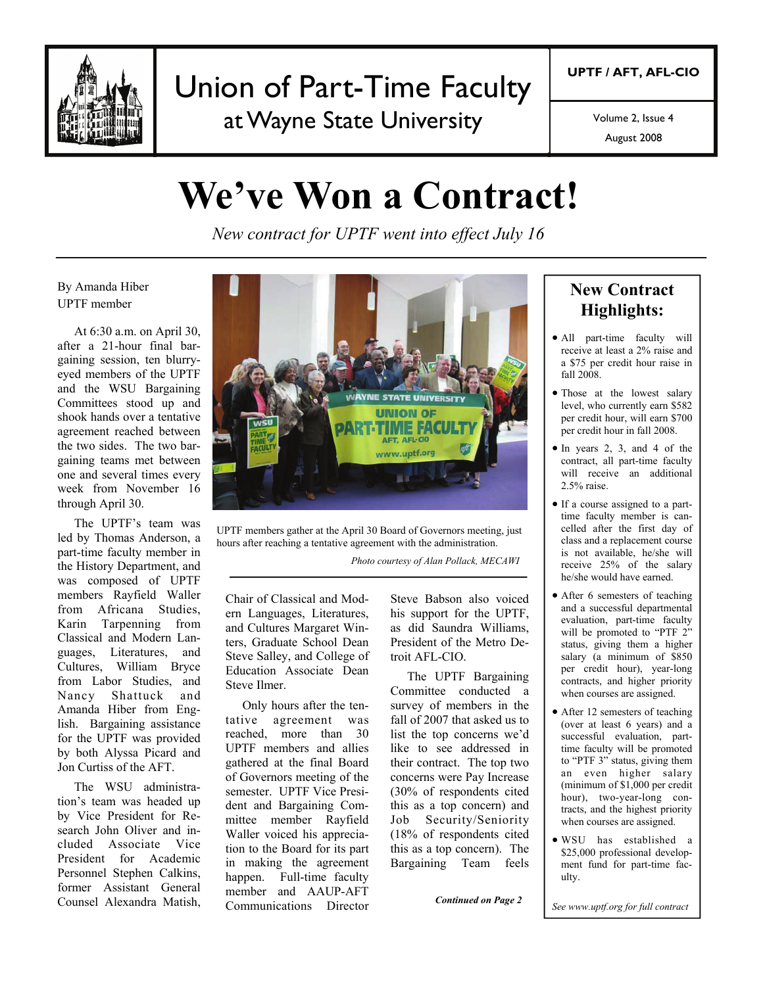

## Union of Part-Time Faculty at Wayne State University

Volume 2, Issue 4

August 2008

# **We've Won a Contract!**

*New contract for UPTF went into effect July 16*

#### By Amanda Hiber UPTF member

 At 6:30 a.m. on April 30, after a 21-hour final bargaining session, ten blurryeyed members of the UPTF and the WSU Bargaining Committees stood up and shook hands over a tentative agreement reached between the two sides. The two bargaining teams met between one and several times every week from November 16 through April 30.

 The UPTF's team was led by Thomas Anderson, a part-time faculty member in the History Department, and was composed of UPTF members Rayfield Waller from Africana Studies, Karin Tarpenning from Classical and Modern Languages, Literatures, and Cultures, William Bryce from Labor Studies, and Nancy Shattuck and Amanda Hiber from English. Bargaining assistance for the UPTF was provided by both Alyssa Picard and Jon Curtiss of the AFT.

The WSU administration's team was headed up by Vice President for Research John Oliver and included Associate Vice President for Academic Personnel Stephen Calkins, former Assistant General Counsel Alexandra Matish,



UPTF members gather at the April 30 Board of Governors meeting, just hours after reaching a tentative agreement with the administration.

 *Photo courtesy of Alan Pollack, MECAWI*

Chair of Classical and Modern Languages, Literatures, and Cultures Margaret Winters, Graduate School Dean Steve Salley, and College of Education Associate Dean Steve Ilmer.

 Only hours after the tentative agreement was reached, more than 30 UPTF members and allies gathered at the final Board of Governors meeting of the semester. UPTF Vice President and Bargaining Committee member Rayfield Waller voiced his appreciation to the Board for its part in making the agreement happen. Full-time faculty member and AAUP-AFT Communications Director Steve Babson also voiced his support for the UPTF, as did Saundra Williams, President of the Metro Detroit AFL-CIO.

 The UPTF Bargaining Committee conducted a survey of members in the fall of 2007 that asked us to list the top concerns we'd like to see addressed in their contract. The top two concerns were Pay Increase (30% of respondents cited this as a top concern) and Job Security/Seniority (18% of respondents cited this as a top concern). The Bargaining Team feels

#### **New Contract Highlights:**

- All part-time faculty will receive at least a 2% raise and a \$75 per credit hour raise in fall 2008.
- Those at the lowest salary level, who currently earn \$582 per credit hour, will earn \$700 per credit hour in fall 2008.
- In years 2, 3, and 4 of the contract, all part-time faculty will receive an additional 2.5% raise.
- If a course assigned to a parttime faculty member is cancelled after the first day of class and a replacement course is not available, he/she will receive 25% of the salary he/she would have earned.
- After 6 semesters of teaching and a successful departmental evaluation, part-time faculty will be promoted to "PTF 2" status, giving them a higher salary (a minimum of \$850 per credit hour), year-long contracts, and higher priority when courses are assigned.
- After 12 semesters of teaching (over at least 6 years) and a successful evaluation, parttime faculty will be promoted to "PTF 3" status, giving them an even higher salary (minimum of \$1,000 per credit hour), two-year-long contracts, and the highest priority when courses are assigned.
- WSU has established a \$25,000 professional development fund for part-time faculty.

*Continued on Page 2 See www.uptf.org for full contract*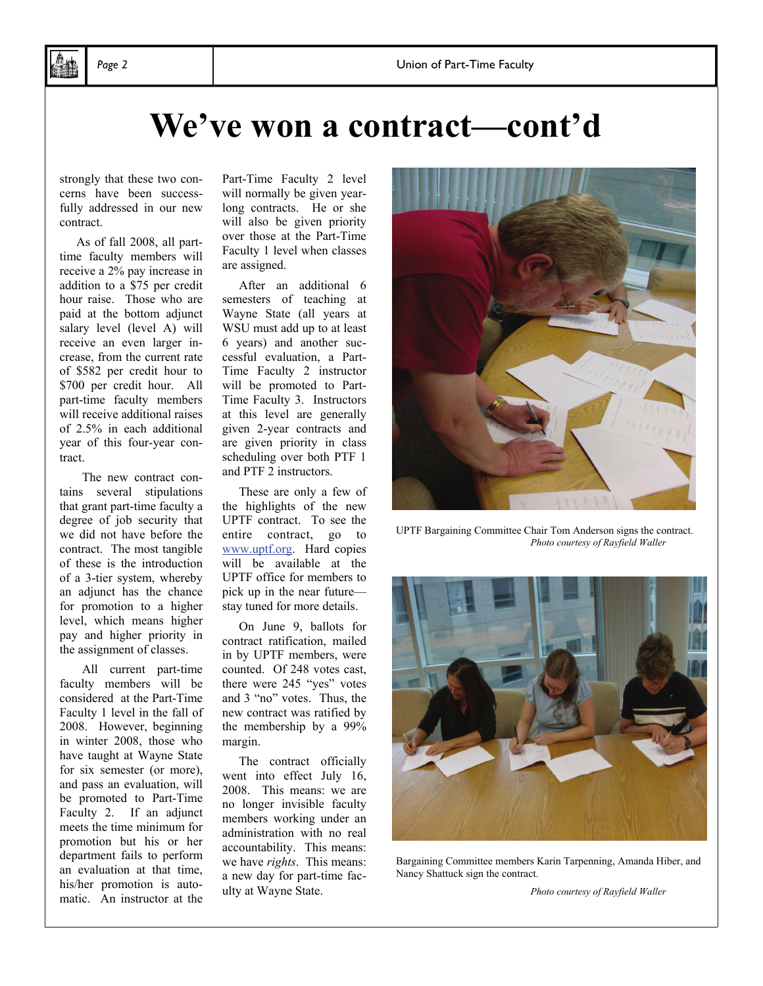# **We've won a contract—cont'd**

strongly that these two concerns have been successfully addressed in our new contract.

 As of fall 2008, all parttime faculty members will receive a 2% pay increase in addition to a \$75 per credit hour raise. Those who are paid at the bottom adjunct salary level (level A) will receive an even larger increase, from the current rate of \$582 per credit hour to \$700 per credit hour. All part-time faculty members will receive additional raises of 2.5% in each additional year of this four-year contract.

 The new contract contains several stipulations that grant part-time faculty a degree of job security that we did not have before the contract. The most tangible of these is the introduction of a 3-tier system, whereby an adjunct has the chance for promotion to a higher level, which means higher pay and higher priority in the assignment of classes.

 All current part-time faculty members will be considered at the Part-Time Faculty 1 level in the fall of 2008. However, beginning in winter 2008, those who have taught at Wayne State for six semester (or more), and pass an evaluation, will be promoted to Part-Time Faculty 2. If an adjunct meets the time minimum for promotion but his or her department fails to perform an evaluation at that time, his/her promotion is automatic. An instructor at the

Part-Time Faculty 2 level will normally be given yearlong contracts. He or she will also be given priority over those at the Part-Time Faculty 1 level when classes are assigned.

 After an additional 6 semesters of teaching at Wayne State (all years at WSU must add up to at least 6 years) and another successful evaluation, a Part-Time Faculty 2 instructor will be promoted to Part-Time Faculty 3. Instructors at this level are generally given 2-year contracts and are given priority in class scheduling over both PTF 1 and PTF 2 instructors.

 These are only a few of the highlights of the new UPTF contract. To see the entire contract, go to www.uptf.org. Hard copies will be available at the UPTF office for members to pick up in the near future stay tuned for more details.

 On June 9, ballots for contract ratification, mailed in by UPTF members, were counted. Of 248 votes cast, there were 245 "yes" votes and 3 "no" votes. Thus, the new contract was ratified by the membership by a 99% margin.

 The contract officially went into effect July 16, 2008. This means: we are no longer invisible faculty members working under an administration with no real accountability. This means: we have *rights*. This means: a new day for part-time faculty at Wayne State.

UPTF Bargaining Committee Chair Tom Anderson signs the contract. *Photo courtesy of Rayfield Waller*



Bargaining Committee members Karin Tarpenning, Amanda Hiber, and Nancy Shattuck sign the contract.

 *Photo courtesy of Rayfield Waller*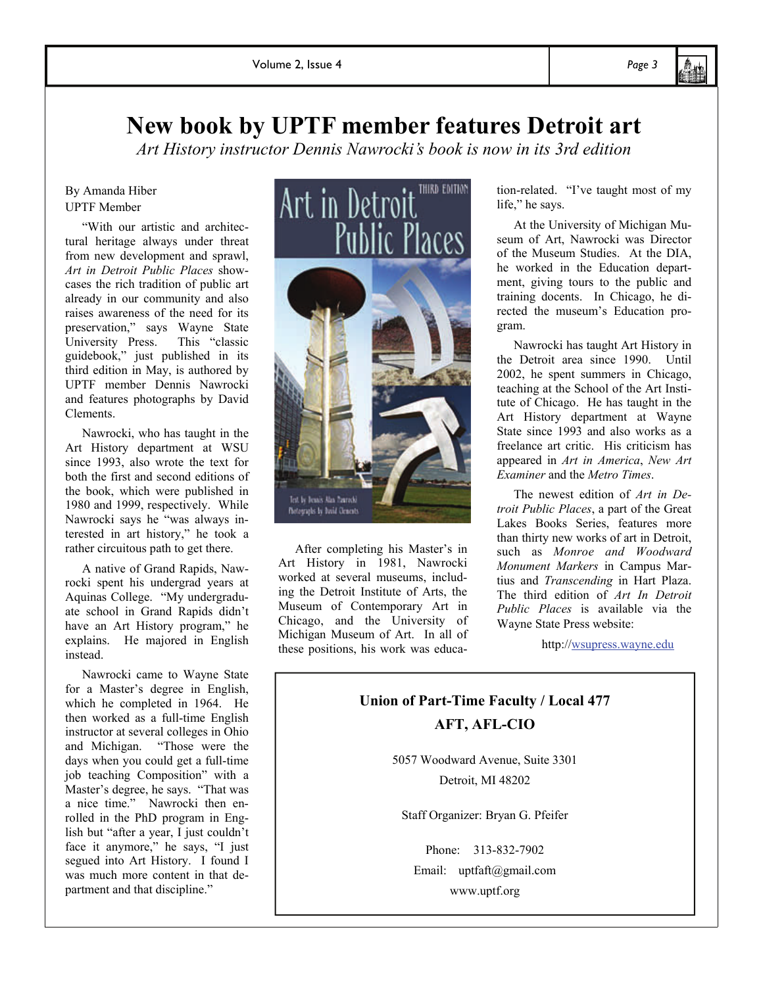#### **New book by UPTF member features Detroit art**

*Art History instructor Dennis Nawrocki's book is now in its 3rd edition* 

#### By Amanda Hiber UPTF Member

 "With our artistic and architectural heritage always under threat from new development and sprawl, *Art in Detroit Public Places* showcases the rich tradition of public art already in our community and also raises awareness of the need for its preservation," says Wayne State<br>University Press. This "classic University Press. guidebook," just published in its third edition in May, is authored by UPTF member Dennis Nawrocki and features photographs by David Clements.

 Nawrocki, who has taught in the Art History department at WSU since 1993, also wrote the text for both the first and second editions of the book, which were published in 1980 and 1999, respectively. While Nawrocki says he "was always interested in art history," he took a rather circuitous path to get there.

 A native of Grand Rapids, Nawrocki spent his undergrad years at Aquinas College. "My undergraduate school in Grand Rapids didn't have an Art History program," he explains. He majored in English instead.

 Nawrocki came to Wayne State for a Master's degree in English, which he completed in 1964. He then worked as a full-time English instructor at several colleges in Ohio and Michigan. "Those were the days when you could get a full-time job teaching Composition" with a Master's degree, he says. "That was a nice time." Nawrocki then enrolled in the PhD program in English but "after a year, I just couldn't face it anymore," he says, "I just segued into Art History. I found I was much more content in that department and that discipline."



 After completing his Master's in Art History in 1981, Nawrocki worked at several museums, including the Detroit Institute of Arts, the Museum of Contemporary Art in Chicago, and the University of Michigan Museum of Art. In all of these positions, his work was education-related. "I've taught most of my life," he says.

 At the University of Michigan Museum of Art, Nawrocki was Director of the Museum Studies. At the DIA, he worked in the Education department, giving tours to the public and training docents. In Chicago, he directed the museum's Education program.

 Nawrocki has taught Art History in the Detroit area since 1990. Until 2002, he spent summers in Chicago, teaching at the School of the Art Institute of Chicago. He has taught in the Art History department at Wayne State since 1993 and also works as a freelance art critic. His criticism has appeared in *Art in America*, *New Art Examiner* and the *Metro Times*.

 The newest edition of *Art in Detroit Public Places*, a part of the Great Lakes Books Series, features more than thirty new works of art in Detroit, such as *Monroe and Woodward Monument Markers* in Campus Martius and *Transcending* in Hart Plaza. The third edition of *Art In Detroit Public Places* is available via the Wayne State Press website:

http://wsupress.wayne.edu

#### **Union of Part-Time Faculty / Local 477 AFT, AFL-CIO**

5057 Woodward Avenue, Suite 3301 Detroit, MI 48202

Staff Organizer: Bryan G. Pfeifer

Phone: 313-832-7902 Email: uptfaft@gmail.com www.uptf.org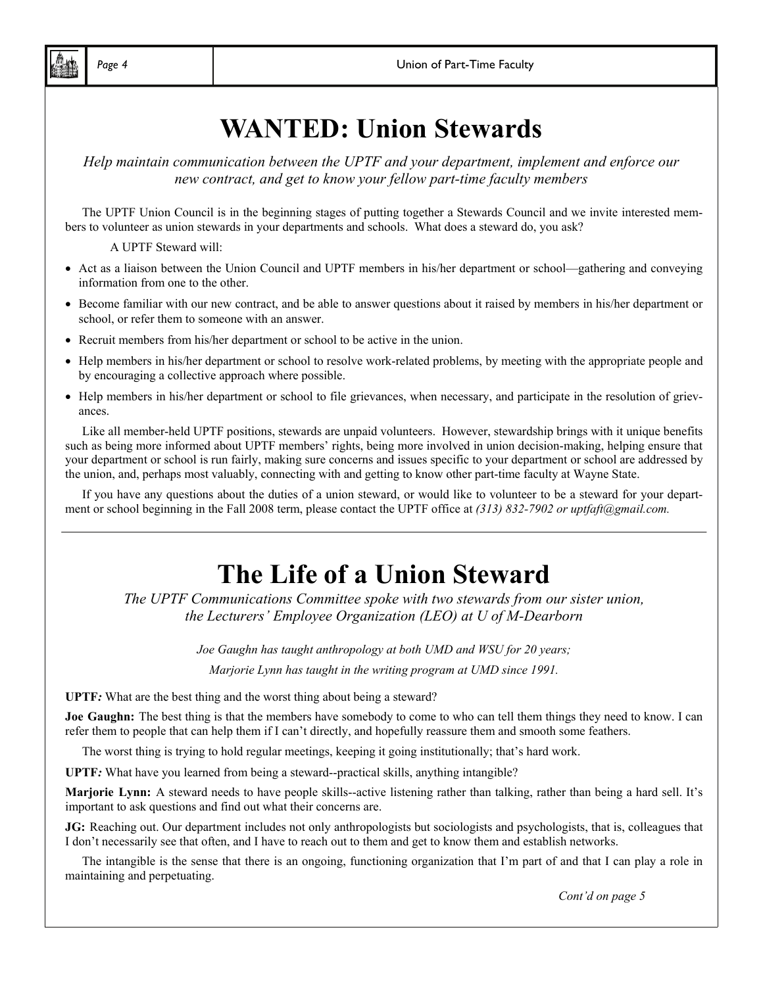## **WANTED: Union Stewards**

*Help maintain communication between the UPTF and your department, implement and enforce our new contract, and get to know your fellow part-time faculty members* 

The UPTF Union Council is in the beginning stages of putting together a Stewards Council and we invite interested members to volunteer as union stewards in your departments and schools. What does a steward do, you ask?

A UPTF Steward will:

- Act as a liaison between the Union Council and UPTF members in his/her department or school—gathering and conveying information from one to the other.
- Become familiar with our new contract, and be able to answer questions about it raised by members in his/her department or school, or refer them to someone with an answer.
- Recruit members from his/her department or school to be active in the union.
- Help members in his/her department or school to resolve work-related problems, by meeting with the appropriate people and by encouraging a collective approach where possible.
- Help members in his/her department or school to file grievances, when necessary, and participate in the resolution of grievances.

 Like all member-held UPTF positions, stewards are unpaid volunteers. However, stewardship brings with it unique benefits such as being more informed about UPTF members' rights, being more involved in union decision-making, helping ensure that your department or school is run fairly, making sure concerns and issues specific to your department or school are addressed by the union, and, perhaps most valuably, connecting with and getting to know other part-time faculty at Wayne State.

 If you have any questions about the duties of a union steward, or would like to volunteer to be a steward for your department or school beginning in the Fall 2008 term, please contact the UPTF office at *(313) 832-7902 or uptfaft@gmail.com.* 

## **The Life of a Union Steward**

*The UPTF Communications Committee spoke with two stewards from our sister union, the Lecturers' Employee Organization (LEO) at U of M-Dearborn* 

> *Joe Gaughn has taught anthropology at both UMD and WSU for 20 years; Marjorie Lynn has taught in the writing program at UMD since 1991.*

**UPTF***:* What are the best thing and the worst thing about being a steward?

**Joe Gaughn:** The best thing is that the members have somebody to come to who can tell them things they need to know. I can refer them to people that can help them if I can't directly, and hopefully reassure them and smooth some feathers.

The worst thing is trying to hold regular meetings, keeping it going institutionally; that's hard work.

**UPTF***:* What have you learned from being a steward--practical skills, anything intangible?

**Marjorie Lynn:** A steward needs to have people skills--active listening rather than talking, rather than being a hard sell. It's important to ask questions and find out what their concerns are.

**JG:** Reaching out. Our department includes not only anthropologists but sociologists and psychologists, that is, colleagues that I don't necessarily see that often, and I have to reach out to them and get to know them and establish networks.

 The intangible is the sense that there is an ongoing, functioning organization that I'm part of and that I can play a role in maintaining and perpetuating.

*Cont'd on page 5*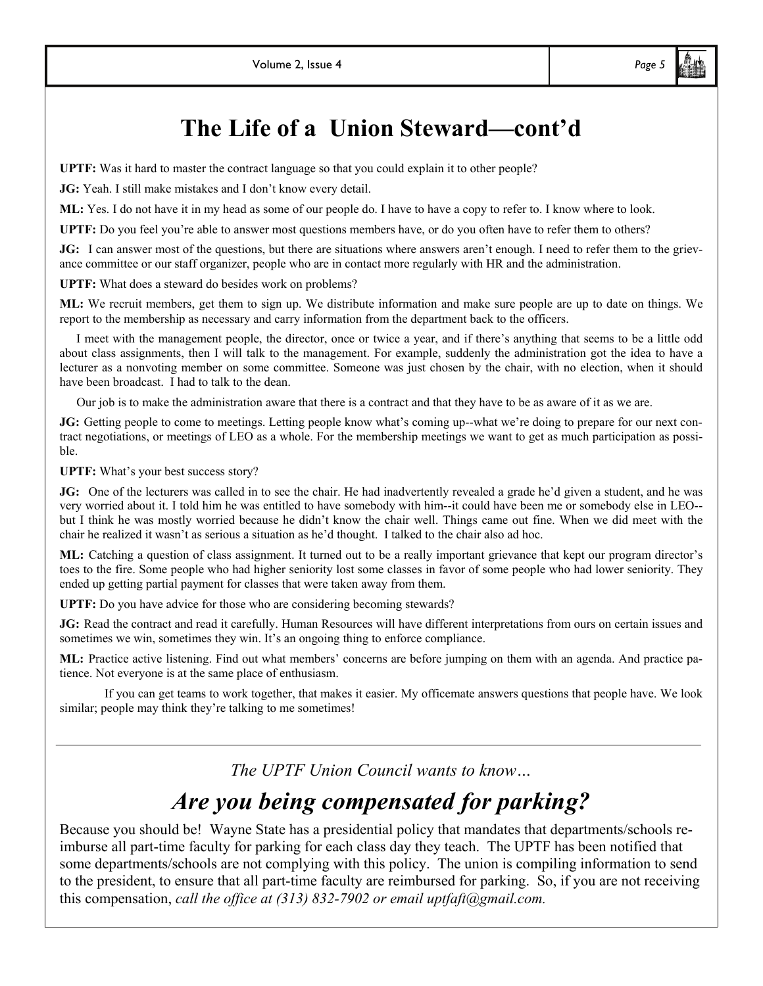### **The Life of a Union Steward—cont'd**

**UPTF:** Was it hard to master the contract language so that you could explain it to other people?

**JG:** Yeah. I still make mistakes and I don't know every detail.

**ML:** Yes. I do not have it in my head as some of our people do. I have to have a copy to refer to. I know where to look.

**UPTF:** Do you feel you're able to answer most questions members have, or do you often have to refer them to others?

**JG:** I can answer most of the questions, but there are situations where answers aren't enough. I need to refer them to the grievance committee or our staff organizer, people who are in contact more regularly with HR and the administration.

**UPTF:** What does a steward do besides work on problems?

**ML:** We recruit members, get them to sign up. We distribute information and make sure people are up to date on things. We report to the membership as necessary and carry information from the department back to the officers.

 I meet with the management people, the director, once or twice a year, and if there's anything that seems to be a little odd about class assignments, then I will talk to the management. For example, suddenly the administration got the idea to have a lecturer as a nonvoting member on some committee. Someone was just chosen by the chair, with no election, when it should have been broadcast. I had to talk to the dean.

Our job is to make the administration aware that there is a contract and that they have to be as aware of it as we are.

**JG:** Getting people to come to meetings. Letting people know what's coming up--what we're doing to prepare for our next contract negotiations, or meetings of LEO as a whole. For the membership meetings we want to get as much participation as possible.

**UPTF:** What's your best success story?

**JG:** One of the lecturers was called in to see the chair. He had inadvertently revealed a grade he'd given a student, and he was very worried about it. I told him he was entitled to have somebody with him--it could have been me or somebody else in LEO- but I think he was mostly worried because he didn't know the chair well. Things came out fine. When we did meet with the chair he realized it wasn't as serious a situation as he'd thought. I talked to the chair also ad hoc.

**ML:** Catching a question of class assignment. It turned out to be a really important grievance that kept our program director's toes to the fire. Some people who had higher seniority lost some classes in favor of some people who had lower seniority. They ended up getting partial payment for classes that were taken away from them.

**UPTF:** Do you have advice for those who are considering becoming stewards?

**JG:** Read the contract and read it carefully. Human Resources will have different interpretations from ours on certain issues and sometimes we win, sometimes they win. It's an ongoing thing to enforce compliance.

**ML:** Practice active listening. Find out what members' concerns are before jumping on them with an agenda. And practice patience. Not everyone is at the same place of enthusiasm.

 If you can get teams to work together, that makes it easier. My officemate answers questions that people have. We look similar; people may think they're talking to me sometimes!

*The UPTF Union Council wants to know…* 

### *Are you being compensated for parking?*

Because you should be! Wayne State has a presidential policy that mandates that departments/schools reimburse all part-time faculty for parking for each class day they teach. The UPTF has been notified that some departments/schools are not complying with this policy. The union is compiling information to send to the president, to ensure that all part-time faculty are reimbursed for parking. So, if you are not receiving this compensation, *call the office at (313) 832-7902 or email uptfaft@gmail.com.*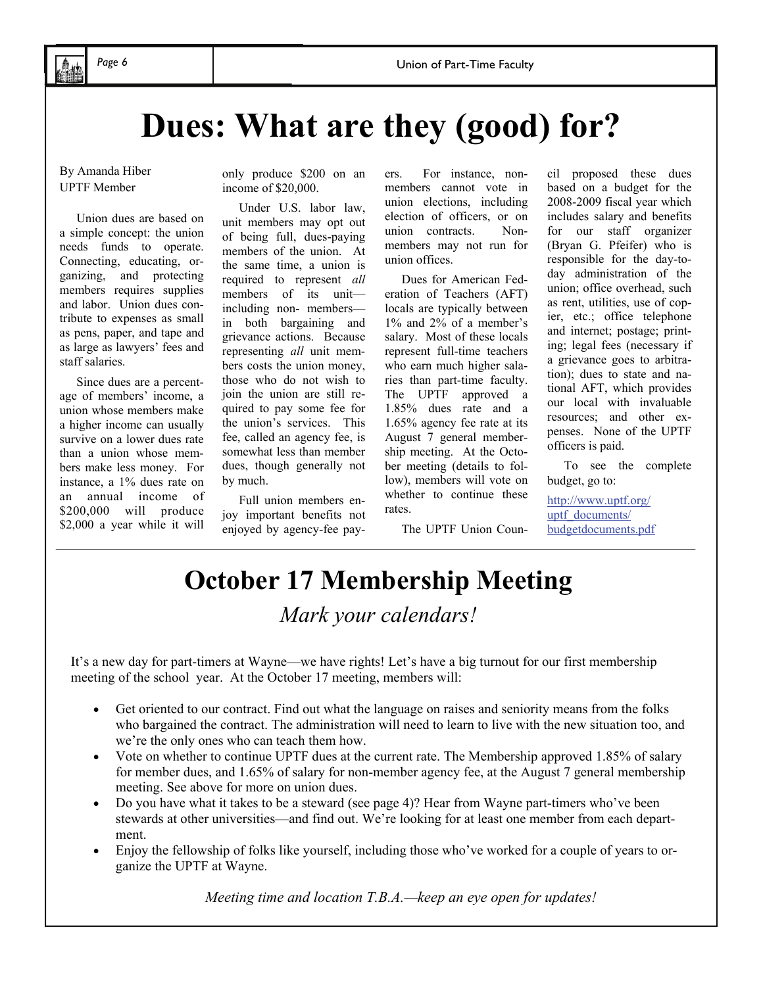## **Dues: What are they (good) for?**

By Amanda Hiber UPTF Member

Union dues are based on a simple concept: the union needs funds to operate. Connecting, educating, organizing, and protecting members requires supplies and labor. Union dues contribute to expenses as small as pens, paper, and tape and as large as lawyers' fees and staff salaries.

 Since dues are a percentage of members' income, a union whose members make a higher income can usually survive on a lower dues rate than a union whose members make less money. For instance, a 1% dues rate on an annual income of \$200,000 will produce \$2,000 a year while it will

only produce \$200 on an income of \$20,000.

 Under U.S. labor law, unit members may opt out of being full, dues-paying members of the union. At the same time, a union is required to represent *all* members of its unit including non- members in both bargaining and grievance actions. Because representing *all* unit members costs the union money, those who do not wish to join the union are still required to pay some fee for the union's services. This fee, called an agency fee, is somewhat less than member dues, though generally not by much.

 Full union members enjoy important benefits not enjoyed by agency-fee payers. For instance, nonmembers cannot vote in union elections, including election of officers, or on union contracts. Nonmembers may not run for union offices.

 Dues for American Federation of Teachers (AFT) locals are typically between 1% and 2% of a member's salary. Most of these locals represent full-time teachers who earn much higher salaries than part-time faculty. The UPTF approved a 1.85% dues rate and a 1.65% agency fee rate at its August 7 general membership meeting. At the October meeting (details to follow), members will vote on whether to continue these rates.

The UPTF Union Coun-

based on a budget for the 2008-2009 fiscal year which includes salary and benefits for our staff organizer (Bryan G. Pfeifer) who is responsible for the day-today administration of the union; office overhead, such as rent, utilities, use of copier, etc.; office telephone and internet; postage; printing; legal fees (necessary if a grievance goes to arbitration); dues to state and national AFT, which provides our local with invaluable resources; and other expenses. None of the UPTF officers is paid.

cil proposed these dues

 To see the complete budget, go to:

http://www.uptf.org/ uptf\_documents/ budgetdocuments.pdf

#### **October 17 Membership Meeting**  *Mark your calendars!*

It's a new day for part-timers at Wayne—we have rights! Let's have a big turnout for our first membership meeting of the school year. At the October 17 meeting, members will:

- Get oriented to our contract. Find out what the language on raises and seniority means from the folks who bargained the contract. The administration will need to learn to live with the new situation too, and we're the only ones who can teach them how.
- Vote on whether to continue UPTF dues at the current rate. The Membership approved 1.85% of salary for member dues, and 1.65% of salary for non-member agency fee, at the August 7 general membership meeting. See above for more on union dues.
- Do you have what it takes to be a steward (see page 4)? Hear from Wayne part-timers who've been stewards at other universities—and find out. We're looking for at least one member from each department.
- Enjoy the fellowship of folks like yourself, including those who've worked for a couple of years to organize the UPTF at Wayne.

*Meeting time and location T.B.A.—keep an eye open for updates!*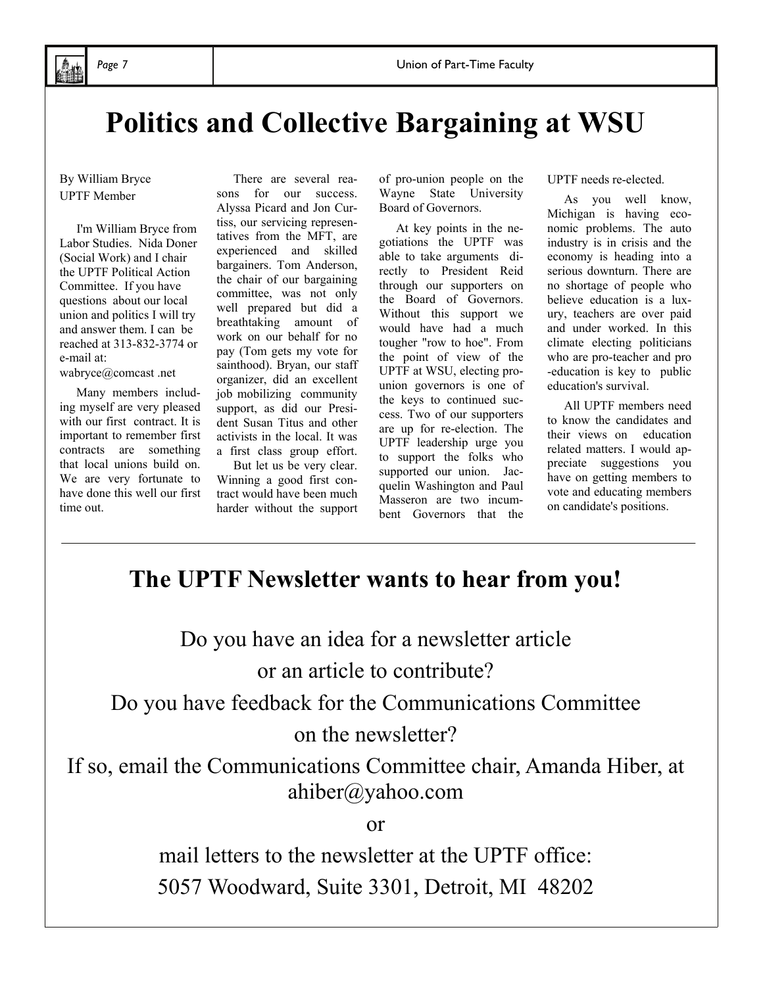## **Politics and Collective Bargaining at WSU**

#### By William Bryce UPTF Member

 I'm William Bryce from Labor Studies. Nida Doner (Social Work) and I chair the UPTF Political Action Committee. If you have questions about our local union and politics I will try and answer them. I can be reached at 313-832-3774 or e-mail at:

wabryce@comcast .net

 Many members including myself are very pleased with our first contract. It is important to remember first contracts are something that local unions build on. We are very fortunate to have done this well our first time out.

 There are several reasons for our success. Alyssa Picard and Jon Curtiss, our servicing representatives from the MFT, are experienced and skilled bargainers. Tom Anderson, the chair of our bargaining committee, was not only well prepared but did a breathtaking amount of work on our behalf for no pay (Tom gets my vote for sainthood). Bryan, our staff organizer, did an excellent job mobilizing community support, as did our President Susan Titus and other activists in the local. It was a first class group effort.

 But let us be very clear. Winning a good first contract would have been much harder without the support of pro-union people on the Wayne State University Board of Governors.

 At key points in the negotiations the UPTF was able to take arguments directly to President Reid through our supporters on the Board of Governors. Without this support we would have had a much tougher "row to hoe". From the point of view of the UPTF at WSU, electing prounion governors is one of the keys to continued success. Two of our supporters are up for re-election. The UPTF leadership urge you to support the folks who supported our union. Jacquelin Washington and Paul Masseron are two incumbent Governors that the

UPTF needs re-elected.

 As you well know, Michigan is having economic problems. The auto industry is in crisis and the economy is heading into a serious downturn. There are no shortage of people who believe education is a luxury, teachers are over paid and under worked. In this climate electing politicians who are pro-teacher and pro -education is key to public education's survival.

 All UPTF members need to know the candidates and their views on education related matters. I would appreciate suggestions you have on getting members to vote and educating members on candidate's positions.

#### **The UPTF Newsletter wants to hear from you!**

Do you have an idea for a newsletter article or an article to contribute?

Do you have feedback for the Communications Committee

#### on the newsletter?

If so, email the Communications Committee chair, Amanda Hiber, at ahiber@yahoo.com

or

mail letters to the newsletter at the UPTF office: 5057 Woodward, Suite 3301, Detroit, MI 48202